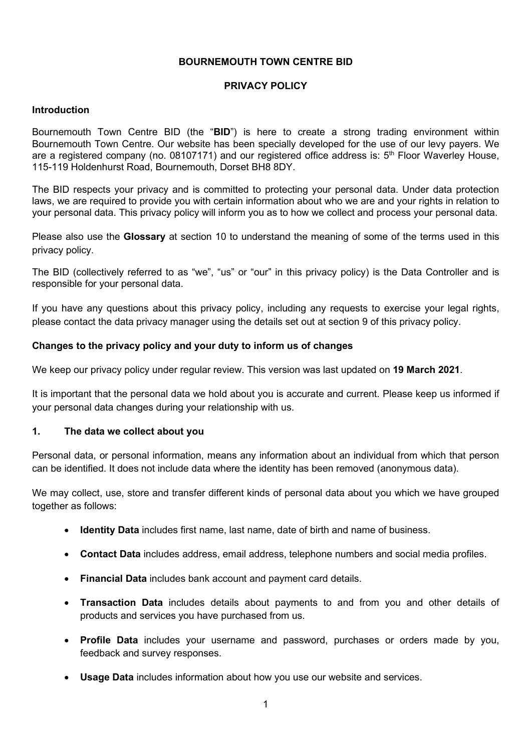### **BOURNEMOUTH TOWN CENTRE BID**

### **PRIVACY POLICY**

### **Introduction**

Bournemouth Town Centre BID (the "**BID**") is here to create a strong trading environment within Bournemouth Town Centre. Our website has been specially developed for the use of our levy payers. We are a registered company (no. 08107171) and our registered office address is: 5<sup>th</sup> Floor Waverley House, 115-119 Holdenhurst Road, Bournemouth, Dorset BH8 8DY.

The BID respects your privacy and is committed to protecting your personal data. Under data protection laws, we are required to provide you with certain information about who we are and your rights in relation to your personal data. This privacy policy will inform you as to how we collect and process your personal data.

Please also use the **Glossary** at section 10 to understand the meaning of some of the terms used in this privacy policy.

The BID (collectively referred to as "we", "us" or "our" in this privacy policy) is the Data Controller and is responsible for your personal data.

If you have any questions about this privacy policy, including any requests to exercise your legal rights, please contact the data privacy manager using the details set out at section 9 of this privacy policy.

#### **Changes to the privacy policy and your duty to inform us of changes**

We keep our privacy policy under regular review. This version was last updated on **19 March 2021**.

It is important that the personal data we hold about you is accurate and current. Please keep us informed if your personal data changes during your relationship with us.

#### **1. The data we collect about you**

Personal data, or personal information, means any information about an individual from which that person can be identified. It does not include data where the identity has been removed (anonymous data).

We may collect, use, store and transfer different kinds of personal data about you which we have grouped together as follows:

- **Identity Data** includes first name, last name, date of birth and name of business.
- **Contact Data** includes address, email address, telephone numbers and social media profiles.
- **Financial Data** includes bank account and payment card details.
- **Transaction Data** includes details about payments to and from you and other details of products and services you have purchased from us.
- **Profile Data** includes your username and password, purchases or orders made by you, feedback and survey responses.
- **Usage Data** includes information about how you use our website and services.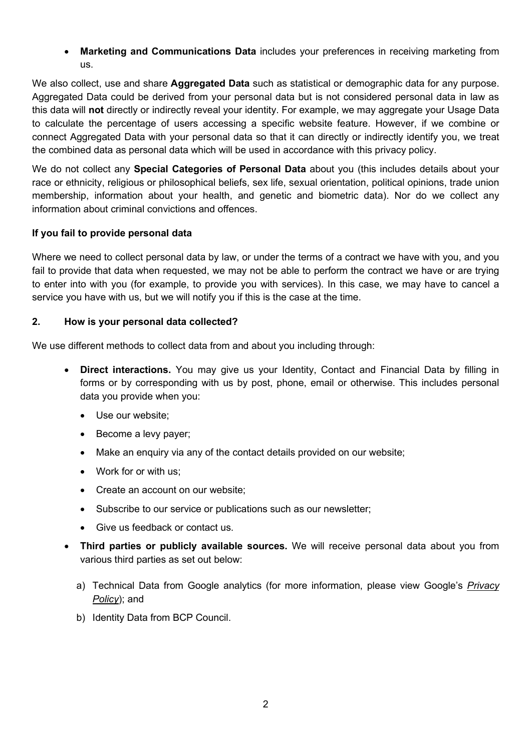**Marketing and Communications Data** includes your preferences in receiving marketing from us.

We also collect, use and share **Aggregated Data** such as statistical or demographic data for any purpose. Aggregated Data could be derived from your personal data but is not considered personal data in law as this data will **not** directly or indirectly reveal your identity. For example, we may aggregate your Usage Data to calculate the percentage of users accessing a specific website feature. However, if we combine or connect Aggregated Data with your personal data so that it can directly or indirectly identify you, we treat the combined data as personal data which will be used in accordance with this privacy policy.

We do not collect any **Special Categories of Personal Data** about you (this includes details about your race or ethnicity, religious or philosophical beliefs, sex life, sexual orientation, political opinions, trade union membership, information about your health, and genetic and biometric data). Nor do we collect any information about criminal convictions and offences.

# **If you fail to provide personal data**

Where we need to collect personal data by law, or under the terms of a contract we have with you, and you fail to provide that data when requested, we may not be able to perform the contract we have or are trying to enter into with you (for example, to provide you with services). In this case, we may have to cancel a service you have with us, but we will notify you if this is the case at the time.

## **2. How is your personal data collected?**

We use different methods to collect data from and about you including through:

- **Direct interactions.** You may give us your Identity, Contact and Financial Data by filling in forms or by corresponding with us by post, phone, email or otherwise. This includes personal data you provide when you:
	- Use our website;
	- Become a levy payer;
	- Make an enquiry via any of the contact details provided on our website;
	- Work for or with us:
	- Create an account on our website;
	- Subscribe to our service or publications such as our newsletter;
	- Give us feedback or contact us.
- **Third parties or publicly available sources.** We will receive personal data about you from various third parties as set out below:
	- a) Technical Data from Google analytics (for more information, please view Google's *Privacy Policy*); and
	- b) Identity Data from BCP Council.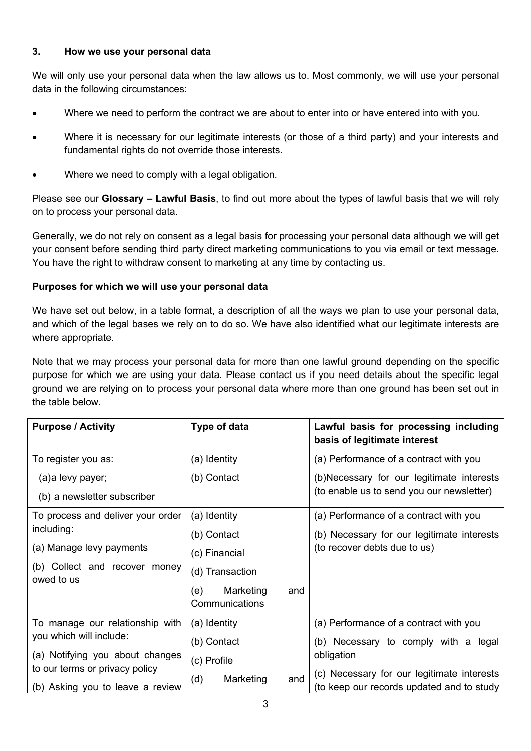### **3. How we use your personal data**

We will only use your personal data when the law allows us to. Most commonly, we will use your personal data in the following circumstances:

- Where we need to perform the contract we are about to enter into or have entered into with you.
- Where it is necessary for our legitimate interests (or those of a third party) and your interests and fundamental rights do not override those interests.
- Where we need to comply with a legal obligation.

Please see our **Glossary – Lawful Basis**, to find out more about the types of lawful basis that we will rely on to process your personal data.

Generally, we do not rely on consent as a legal basis for processing your personal data although we will get your consent before sending third party direct marketing communications to you via email or text message. You have the right to withdraw consent to marketing at any time by contacting us.

## **Purposes for which we will use your personal data**

We have set out below, in a table format, a description of all the ways we plan to use your personal data, and which of the legal bases we rely on to do so. We have also identified what our legitimate interests are where appropriate.

Note that we may process your personal data for more than one lawful ground depending on the specific purpose for which we are using your data. Please contact us if you need details about the specific legal ground we are relying on to process your personal data where more than one ground has been set out in the table below.

| <b>Purpose / Activity</b>                                          | Type of data                              | Lawful basis for processing including<br>basis of legitimate interest                   |
|--------------------------------------------------------------------|-------------------------------------------|-----------------------------------------------------------------------------------------|
| To register you as:                                                | (a) Identity                              | (a) Performance of a contract with you                                                  |
| (a)a levy payer;                                                   | (b) Contact                               | (b)Necessary for our legitimate interests                                               |
| (b) a newsletter subscriber                                        |                                           | (to enable us to send you our newsletter)                                               |
| To process and deliver your order                                  | (a) Identity                              | (a) Performance of a contract with you                                                  |
| including:                                                         | (b) Contact                               | (b) Necessary for our legitimate interests                                              |
| (a) Manage levy payments                                           | (c) Financial                             | (to recover debts due to us)                                                            |
| (b) Collect and recover money<br>owed to us                        | (d) Transaction                           |                                                                                         |
|                                                                    | Marketing<br>(e)<br>and<br>Communications |                                                                                         |
| To manage our relationship with                                    | (a) Identity                              | (a) Performance of a contract with you                                                  |
| you which will include:                                            | (b) Contact                               | (b) Necessary to comply with a legal                                                    |
| (a) Notifying you about changes                                    | (c) Profile                               | obligation                                                                              |
| to our terms or privacy policy<br>(b) Asking you to leave a review | (d)<br>Marketing<br>and                   | (c) Necessary for our legitimate interests<br>(to keep our records updated and to study |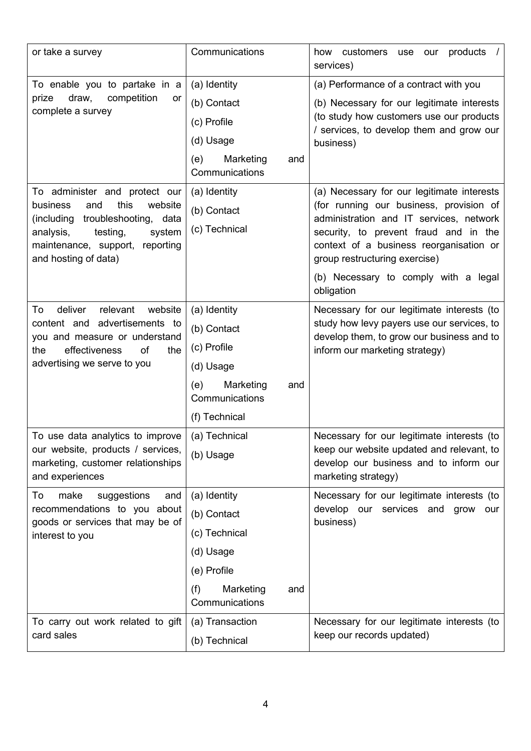| or take a survey                                                                                                                                                                                      | Communications                                                                                                        | how customers use<br>products $/$<br>our<br>services)                                                                                                                                                                                                                                                       |
|-------------------------------------------------------------------------------------------------------------------------------------------------------------------------------------------------------|-----------------------------------------------------------------------------------------------------------------------|-------------------------------------------------------------------------------------------------------------------------------------------------------------------------------------------------------------------------------------------------------------------------------------------------------------|
| To enable you to partake in a<br>prize<br>draw,<br>competition<br>or<br>complete a survey                                                                                                             | (a) Identity<br>(b) Contact<br>(c) Profile<br>(d) Usage<br>(e)<br>Marketing<br>and<br>Communications                  | (a) Performance of a contract with you<br>(b) Necessary for our legitimate interests<br>(to study how customers use our products<br>/ services, to develop them and grow our<br>business)                                                                                                                   |
| To administer and protect our<br>this<br>business<br>and<br>website<br>(including troubleshooting, data<br>testing,<br>analysis,<br>system<br>maintenance, support, reporting<br>and hosting of data) | (a) Identity<br>(b) Contact<br>(c) Technical                                                                          | (a) Necessary for our legitimate interests<br>(for running our business, provision of<br>administration and IT services, network<br>security, to prevent fraud and in the<br>context of a business reorganisation or<br>group restructuring exercise)<br>(b) Necessary to comply with a legal<br>obligation |
| relevant<br>website<br>To<br>deliver<br>content and advertisements to<br>you and measure or understand<br>effectiveness<br>of<br>the<br>the<br>advertising we serve to you                            | (a) Identity<br>(b) Contact<br>(c) Profile<br>(d) Usage<br>Marketing<br>(e)<br>and<br>Communications<br>(f) Technical | Necessary for our legitimate interests (to<br>study how levy payers use our services, to<br>develop them, to grow our business and to<br>inform our marketing strategy)                                                                                                                                     |
| To use data analytics to improve<br>our website, products / services,<br>marketing, customer relationships<br>and experiences                                                                         | (a) Technical<br>(b) Usage                                                                                            | Necessary for our legitimate interests (to<br>keep our website updated and relevant, to<br>develop our business and to inform our<br>marketing strategy)                                                                                                                                                    |
| make<br>suggestions<br>To<br>and<br>recommendations to you about<br>goods or services that may be of<br>interest to you                                                                               | (a) Identity<br>(b) Contact<br>(c) Technical<br>(d) Usage<br>(e) Profile<br>(f)<br>Marketing<br>and<br>Communications | Necessary for our legitimate interests (to<br>develop our services and<br>grow<br>our<br>business)                                                                                                                                                                                                          |
| To carry out work related to gift<br>card sales                                                                                                                                                       | (a) Transaction<br>(b) Technical                                                                                      | Necessary for our legitimate interests (to<br>keep our records updated)                                                                                                                                                                                                                                     |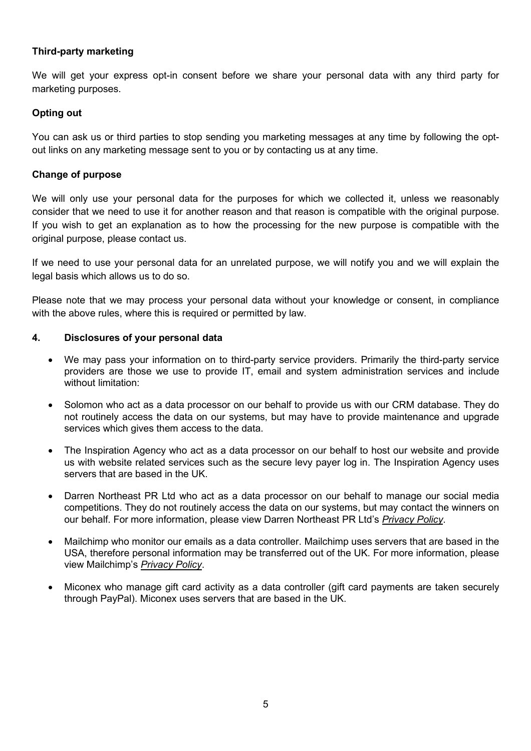## **Third-party marketing**

We will get your express opt-in consent before we share your personal data with any third party for marketing purposes.

### **Opting out**

You can ask us or third parties to stop sending you marketing messages at any time by following the optout links on any marketing message sent to you or by contacting us at any time.

### **Change of purpose**

We will only use your personal data for the purposes for which we collected it, unless we reasonably consider that we need to use it for another reason and that reason is compatible with the original purpose. If you wish to get an explanation as to how the processing for the new purpose is compatible with the original purpose, please contact us.

If we need to use your personal data for an unrelated purpose, we will notify you and we will explain the legal basis which allows us to do so.

Please note that we may process your personal data without your knowledge or consent, in compliance with the above rules, where this is required or permitted by law.

#### **4. Disclosures of your personal data**

- We may pass your information on to third-party service providers. Primarily the third-party service providers are those we use to provide IT, email and system administration services and include without limitation:
- Solomon who act as a data processor on our behalf to provide us with our CRM database. They do not routinely access the data on our systems, but may have to provide maintenance and upgrade services which gives them access to the data.
- The Inspiration Agency who act as a data processor on our behalf to host our website and provide us with website related services such as the secure levy payer log in. The Inspiration Agency uses servers that are based in the UK.
- Darren Northeast PR Ltd who act as a data processor on our behalf to manage our social media competitions. They do not routinely access the data on our systems, but may contact the winners on our behalf. For more information, please view Darren Northeast PR Ltd's *Privacy Policy*.
- Mailchimp who monitor our emails as a data controller. Mailchimp uses servers that are based in the USA, therefore personal information may be transferred out of the UK. For more information, please view Mailchimp's *Privacy Policy*.
- Miconex who manage gift card activity as a data controller (gift card payments are taken securely through PayPal). Miconex uses servers that are based in the UK.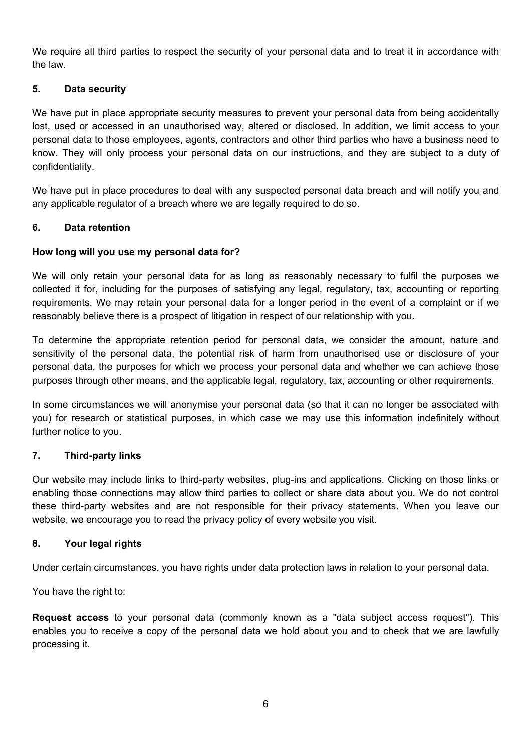We require all third parties to respect the security of your personal data and to treat it in accordance with the law.

### **5. Data security**

We have put in place appropriate security measures to prevent your personal data from being accidentally lost, used or accessed in an unauthorised way, altered or disclosed. In addition, we limit access to your personal data to those employees, agents, contractors and other third parties who have a business need to know. They will only process your personal data on our instructions, and they are subject to a duty of confidentiality.

We have put in place procedures to deal with any suspected personal data breach and will notify you and any applicable regulator of a breach where we are legally required to do so.

### **6. Data retention**

### **How long will you use my personal data for?**

We will only retain your personal data for as long as reasonably necessary to fulfil the purposes we collected it for, including for the purposes of satisfying any legal, regulatory, tax, accounting or reporting requirements. We may retain your personal data for a longer period in the event of a complaint or if we reasonably believe there is a prospect of litigation in respect of our relationship with you.

To determine the appropriate retention period for personal data, we consider the amount, nature and sensitivity of the personal data, the potential risk of harm from unauthorised use or disclosure of your personal data, the purposes for which we process your personal data and whether we can achieve those purposes through other means, and the applicable legal, regulatory, tax, accounting or other requirements.

In some circumstances we will anonymise your personal data (so that it can no longer be associated with you) for research or statistical purposes, in which case we may use this information indefinitely without further notice to you.

#### **7. Third-party links**

Our website may include links to third-party websites, plug-ins and applications. Clicking on those links or enabling those connections may allow third parties to collect or share data about you. We do not control these third-party websites and are not responsible for their privacy statements. When you leave our website, we encourage you to read the privacy policy of every website you visit.

#### **8. Your legal rights**

Under certain circumstances, you have rights under data protection laws in relation to your personal data.

You have the right to:

**Request access** to your personal data (commonly known as a "data subject access request"). This enables you to receive a copy of the personal data we hold about you and to check that we are lawfully processing it.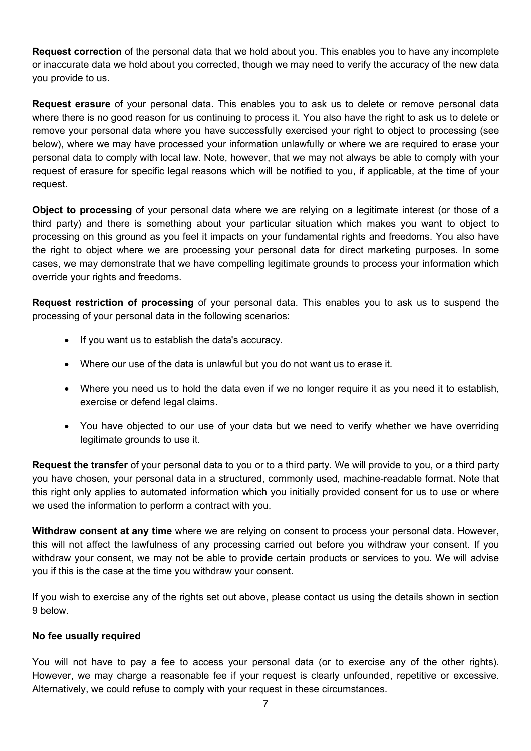**Request correction** of the personal data that we hold about you. This enables you to have any incomplete or inaccurate data we hold about you corrected, though we may need to verify the accuracy of the new data you provide to us.

**Request erasure** of your personal data. This enables you to ask us to delete or remove personal data where there is no good reason for us continuing to process it. You also have the right to ask us to delete or remove your personal data where you have successfully exercised your right to object to processing (see below), where we may have processed your information unlawfully or where we are required to erase your personal data to comply with local law. Note, however, that we may not always be able to comply with your request of erasure for specific legal reasons which will be notified to you, if applicable, at the time of your request.

**Object to processing** of your personal data where we are relying on a legitimate interest (or those of a third party) and there is something about your particular situation which makes you want to object to processing on this ground as you feel it impacts on your fundamental rights and freedoms. You also have the right to object where we are processing your personal data for direct marketing purposes. In some cases, we may demonstrate that we have compelling legitimate grounds to process your information which override your rights and freedoms.

**Request restriction of processing** of your personal data. This enables you to ask us to suspend the processing of your personal data in the following scenarios:

- If you want us to establish the data's accuracy.
- Where our use of the data is unlawful but you do not want us to erase it.
- Where you need us to hold the data even if we no longer require it as you need it to establish, exercise or defend legal claims.
- You have objected to our use of your data but we need to verify whether we have overriding legitimate grounds to use it.

**Request the transfer** of your personal data to you or to a third party. We will provide to you, or a third party you have chosen, your personal data in a structured, commonly used, machine-readable format. Note that this right only applies to automated information which you initially provided consent for us to use or where we used the information to perform a contract with you.

**Withdraw consent at any time** where we are relying on consent to process your personal data. However, this will not affect the lawfulness of any processing carried out before you withdraw your consent. If you withdraw your consent, we may not be able to provide certain products or services to you. We will advise you if this is the case at the time you withdraw your consent.

If you wish to exercise any of the rights set out above, please contact us using the details shown in section 9 below.

## **No fee usually required**

You will not have to pay a fee to access your personal data (or to exercise any of the other rights). However, we may charge a reasonable fee if your request is clearly unfounded, repetitive or excessive. Alternatively, we could refuse to comply with your request in these circumstances.